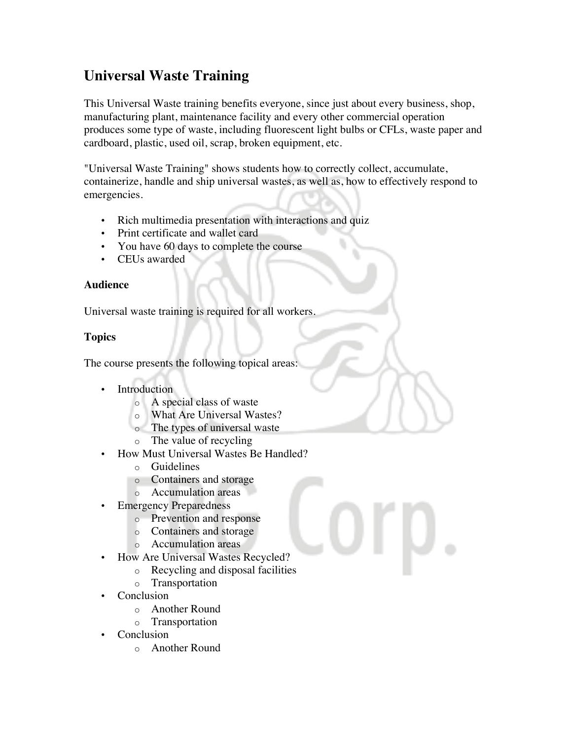# **Universal Waste Training**

This Universal Waste training benefits everyone, since just about every business, shop, manufacturing plant, maintenance facility and every other commercial operation produces some type of waste, including fluorescent light bulbs or CFLs, waste paper and cardboard, plastic, used oil, scrap, broken equipment, etc.

"Universal Waste Training" shows students how to correctly collect, accumulate, containerize, handle and ship universal wastes, as well as, how to effectively respond to emergencies.

- Rich multimedia presentation with interactions and quiz
- Print certificate and wallet card
- You have 60 days to complete the course
- CEUs awarded

## **Audience**

Universal waste training is required for all workers.

# **Topics**

The course presents the following topical areas:

- Introduction
	- o A special class of waste
	- o What Are Universal Wastes?
	- o The types of universal waste
	- o The value of recycling
- How Must Universal Wastes Be Handled?
	- o Guidelines
	- o Containers and storage
	- o Accumulation areas
	- **Emergency Preparedness** 
		- o Prevention and response
		- o Containers and storage
		- o Accumulation areas
- How Are Universal Wastes Recycled?
	- o Recycling and disposal facilities
	- o Transportation
- **Conclusion** 
	- o Another Round
	- o Transportation
- **Conclusion** 
	- o Another Round